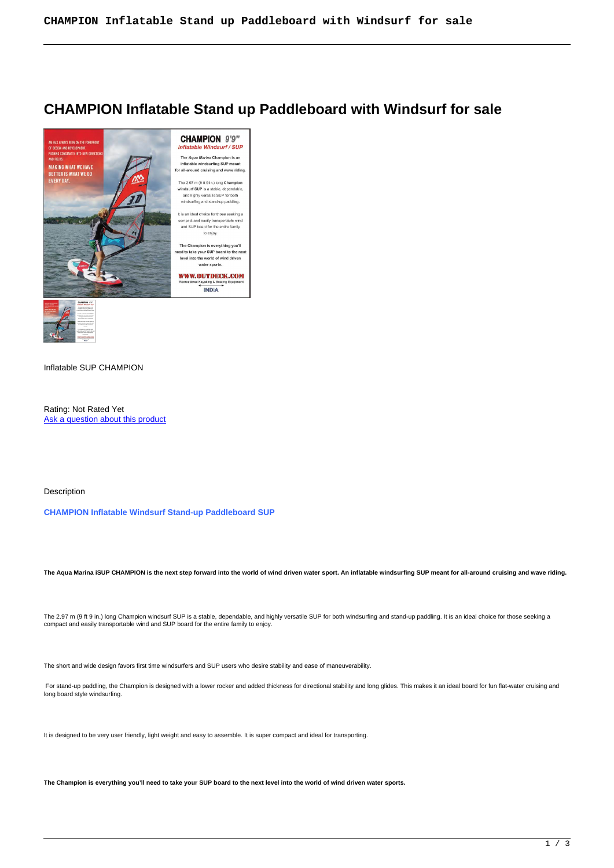# **CHAMPION Inflatable Stand up Paddleboard with Windsurf for sale**



# Inflatable SUP CHAMPION

Rating: Not Rated Yet Ask a question about this product

## Description

# **CHAMPION Inflatable Windsurf Stand-up Paddleboard SUP**

**The Aqua Marina iSUP CHAMPION is the next step forward into the world of wind driven water sport. An inflatable windsurfing SUP meant for all-around cruising and wave riding.**

The 2.97 m (9 ft 9 in.) long Champion windsurf SUP is a stable, dependable, and highly versatile SUP for both windsurfing and stand-up paddling. It is an ideal choice for those seeking a compact and easily transportable wind and SUP board for the entire family to enjoy.

The short and wide design favors first time windsurfers and SUP users who desire stability and ease of maneuverability.

For stand-up paddling, the Champion is designed with a lower rocker and added thickness for directional stability and long glides. This makes it an ideal board for fun flat-water cruising and long board style windsurfing.

It is designed to be very user friendly, light weight and easy to assemble. It is super compact and ideal for transporting.

**The Champion is everything you'll need to take your SUP board to the next level into the world of wind driven water sports.**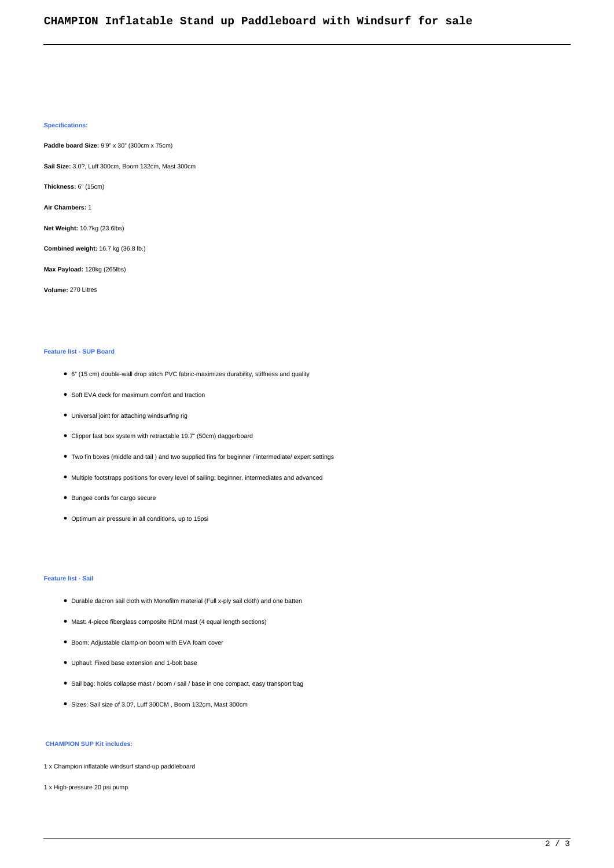## **Specifications:**

**Paddle board Size:** 9'9" x 30" (300cm x 75cm)

**Sail Size:** 3.0?, Luff 300cm, Boom 132cm, Mast 300cm

**Thickness:** 6" (15cm)

**Air Chambers:** 1

**Net Weight:** 10.7kg (23.6lbs)

**Combined weight:** 16.7 kg (36.8 lb.)

**Max Payload:** 120kg (265lbs)

**Volume:** 270 Litres

#### **Feature list - SUP Board**

- 6" (15 cm) double-wall drop stitch PVC fabric-maximizes durability, stiffness and quality
- Soft EVA deck for maximum comfort and traction
- Universal joint for attaching windsurfing rig
- Clipper fast box system with retractable 19.7" (50cm) daggerboard
- Two fin boxes (middle and tail ) and two supplied fins for beginner / intermediate/ expert settings
- Multiple footstraps positions for every level of sailing: beginner, intermediates and advanced
- Bungee cords for cargo secure
- Optimum air pressure in all conditions, up to 15psi

#### **Feature list - Sail**

- Durable dacron sail cloth with Monofilm material (Full x-ply sail cloth) and one batten
- Mast: 4-piece fiberglass composite RDM mast (4 equal length sections)
- Boom: Adjustable clamp-on boom with EVA foam cover
- Uphaul: Fixed base extension and 1-bolt base
- Sail bag: holds collapse mast / boom / sail / base in one compact, easy transport bag
- Sizes: Sail size of 3.0?, Luff 300CM , Boom 132cm, Mast 300cm

## **CHAMPION SUP Kit includes:**

- 1 x Champion inflatable windsurf stand-up paddleboard
- 1 x High-pressure 20 psi pump